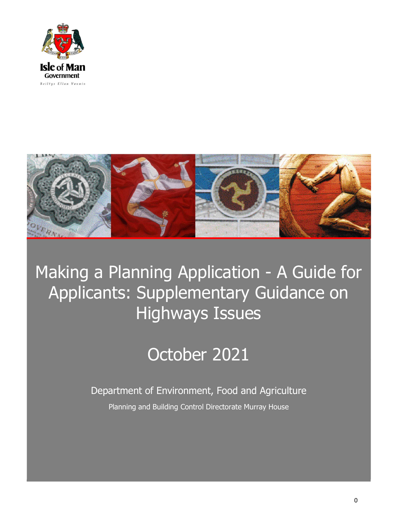



# Making a Planning Application - A Guide for Applicants: Supplementary Guidance on Highways Issues

## October 2021

Department of Environment, Food and Agriculture Planning and Building Control Directorate Murray House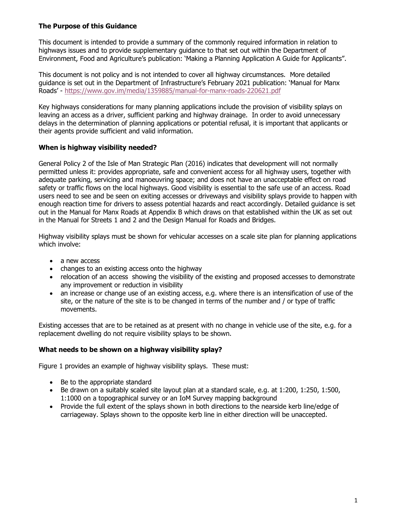### The Purpose of this Guidance

This document is intended to provide a summary of the commonly required information in relation to highways issues and to provide supplementary guidance to that set out within the Department of Environment, Food and Agriculture's publication: 'Making a Planning Application A Guide for Applicants".

This document is not policy and is not intended to cover all highway circumstances. More detailed guidance is set out in the Department of Infrastructure's February 2021 publication: 'Manual for Manx Roads' - https://www.gov.im/media/1359885/manual-for-manx-roads-220621.pdf

Key highways considerations for many planning applications include the provision of visibility splays on leaving an access as a driver, sufficient parking and highway drainage. In order to avoid unnecessary delays in the determination of planning applications or potential refusal, it is important that applicants or their agents provide sufficient and valid information.

### When is highway visibility needed?

General Policy 2 of the Isle of Man Strategic Plan (2016) indicates that development will not normally permitted unless it: provides appropriate, safe and convenient access for all highway users, together with adequate parking, servicing and manoeuvring space; and does not have an unacceptable effect on road safety or traffic flows on the local highways. Good visibility is essential to the safe use of an access. Road users need to see and be seen on exiting accesses or driveways and visibility splays provide to happen with enough reaction time for drivers to assess potential hazards and react accordingly. Detailed guidance is set out in the Manual for Manx Roads at Appendix B which draws on that established within the UK as set out in the Manual for Streets 1 and 2 and the Design Manual for Roads and Bridges.

Highway visibility splays must be shown for vehicular accesses on a scale site plan for planning applications which involve:

- a new access
- changes to an existing access onto the highway
- relocation of an access showing the visibility of the existing and proposed accesses to demonstrate any improvement or reduction in visibility
- an increase or change use of an existing access, e.g. where there is an intensification of use of the site, or the nature of the site is to be changed in terms of the number and / or type of traffic movements.

Existing accesses that are to be retained as at present with no change in vehicle use of the site, e.g. for a replacement dwelling do not require visibility splays to be shown.

### What needs to be shown on a highway visibility splay?

Figure 1 provides an example of highway visibility splays. These must:

- Be to the appropriate standard
- Be drawn on a suitably scaled site layout plan at a standard scale, e.g. at 1:200, 1:250, 1:500, 1:1000 on a topographical survey or an IoM Survey mapping background
- Provide the full extent of the splays shown in both directions to the nearside kerb line/edge of carriageway. Splays shown to the opposite kerb line in either direction will be unaccepted.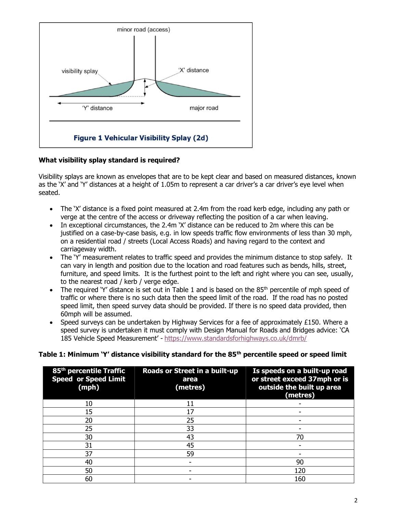

### What visibility splay standard is required?

Visibility splays are known as envelopes that are to be kept clear and based on measured distances, known as the 'X' and 'Y' distances at a height of 1.05m to represent a car driver's a car driver's eye level when seated.

- The 'X' distance is a fixed point measured at 2.4m from the road kerb edge, including any path or verge at the centre of the access or driveway reflecting the position of a car when leaving.
- In exceptional circumstances, the 2.4m `X' distance can be reduced to 2m where this can be justified on a case-by-case basis, e.g. in low speeds traffic flow environments of less than 30 mph, on a residential road / streets (Local Access Roads) and having regard to the context and carriageway width.
- The 'Y' measurement relates to traffic speed and provides the minimum distance to stop safely. It can vary in length and position due to the location and road features such as bends, hills, street, furniture, and speed limits. It is the furthest point to the left and right where you can see, usually, to the nearest road / kerb / verge edge.
- The required 'Y' distance is set out in Table 1 and is based on the  $85<sup>th</sup>$  percentile of mph speed of traffic or where there is no such data then the speed limit of the road. If the road has no posted speed limit, then speed survey data should be provided. If there is no speed data provided, then 60mph will be assumed.
- Speed surveys can be undertaken by Highway Services for a fee of approximately  $£150$ . Where a speed survey is undertaken it must comply with Design Manual for Roads and Bridges advice: 'CA 185 Vehicle Speed Measurement' - https://www.standardsforhighways.co.uk/dmrb/

### Table 1: Minimum 'Y' distance visibility standard for the  $85<sup>th</sup>$  percentile speed or speed limit

| 85 <sup>th</sup> percentile Traffic<br><b>Speed or Speed Limit</b><br>(mph) | Roads or Street in a built-up<br>area<br>(metres) | Is speeds on a built-up road<br>or street exceed 37mph or is<br>outside the built up area<br>(metres) |
|-----------------------------------------------------------------------------|---------------------------------------------------|-------------------------------------------------------------------------------------------------------|
| 10                                                                          | 11                                                |                                                                                                       |
| 15                                                                          | 17                                                |                                                                                                       |
| 20                                                                          | 25                                                |                                                                                                       |
| 25                                                                          | 33                                                |                                                                                                       |
| 30                                                                          | 43                                                | 70                                                                                                    |
| 31                                                                          | 45                                                |                                                                                                       |
| 37                                                                          | 59                                                |                                                                                                       |
| 40                                                                          |                                                   | 90                                                                                                    |
| 50                                                                          |                                                   | 120                                                                                                   |
| 60                                                                          |                                                   | 160                                                                                                   |